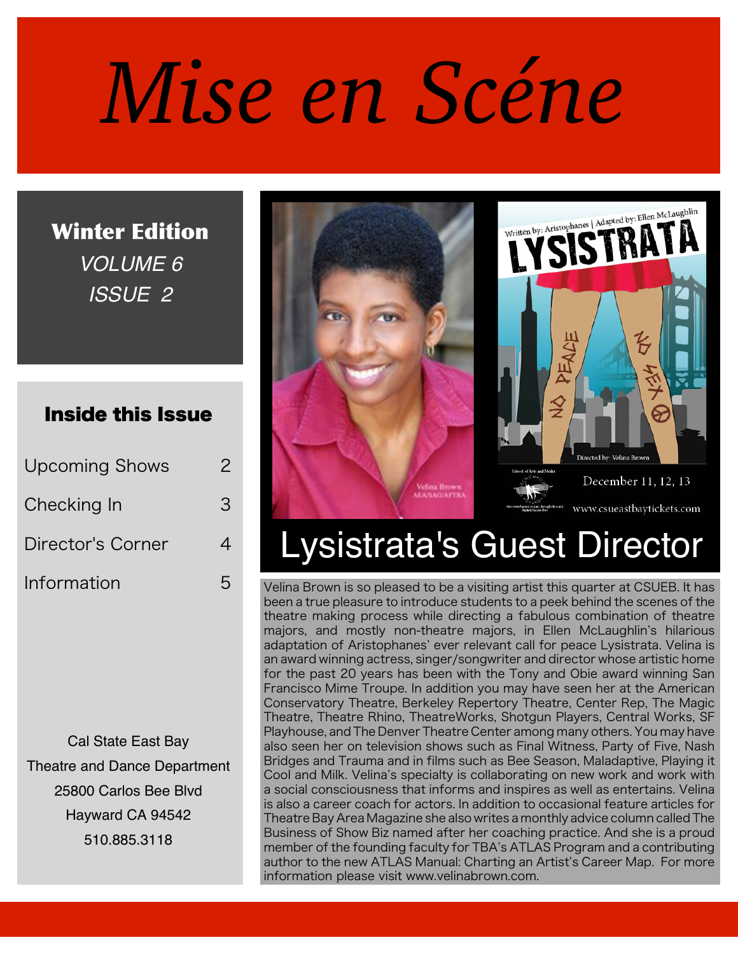# *Mise en Scéne*

Winter Edition *VOLUME 6 ISSUE 2*

### Inside this Issue

| <b>Upcoming Shows</b> | $\overline{\phantom{a}}$ |
|-----------------------|--------------------------|
| Checking In           | З                        |
| Director's Corner     | 4                        |
| Information           | ら                        |

Cal State East Bay Theatre and Dance Department 25800 Carlos Bee Blvd Hayward CA 94542 510.885.3118



# Lysistrata's Guest Director

Velina Brown is so pleased to be a visiting artist this quarter at CSUEB. It has been a true pleasure to introduce students to a peek behind the scenes of the theatre making process while directing a fabulous combination of theatre majors, and mostly non-theatre majors, in Ellen McLaughlin's hilarious adaptation of Aristophanes' ever relevant call for peace Lysistrata. Velina is an award winning actress, singer/songwriter and director whose artistic home for the past 20 years has been with the Tony and Obie award winning San Francisco Mime Troupe. In addition you may have seen her at the American Conservatory Theatre, Berkeley Repertory Theatre, Center Rep, The Magic Theatre, Theatre Rhino, TheatreWorks, Shotgun Players, Central Works, SF Playhouse, and The Denver Theatre Center among many others. You may have also seen her on television shows such as Final Witness, Party of Five, Nash Bridges and Trauma and in films such as Bee Season, Maladaptive, Playing it Cool and Milk. Velina's specialty is collaborating on new work and work with a social consciousness that informs and inspires as well as entertains. Velina is also a career coach for actors. In addition to occasional feature articles for Theatre Bay Area Magazine she also writes a monthly advice column called The Business of Show Biz named after her coaching practice. And she is a proud member of the founding faculty for TBA's ATLAS Program and a contributing author to the new ATLAS Manual: Charting an Artist's Career Map. For more information please visit www.velinabrown.com.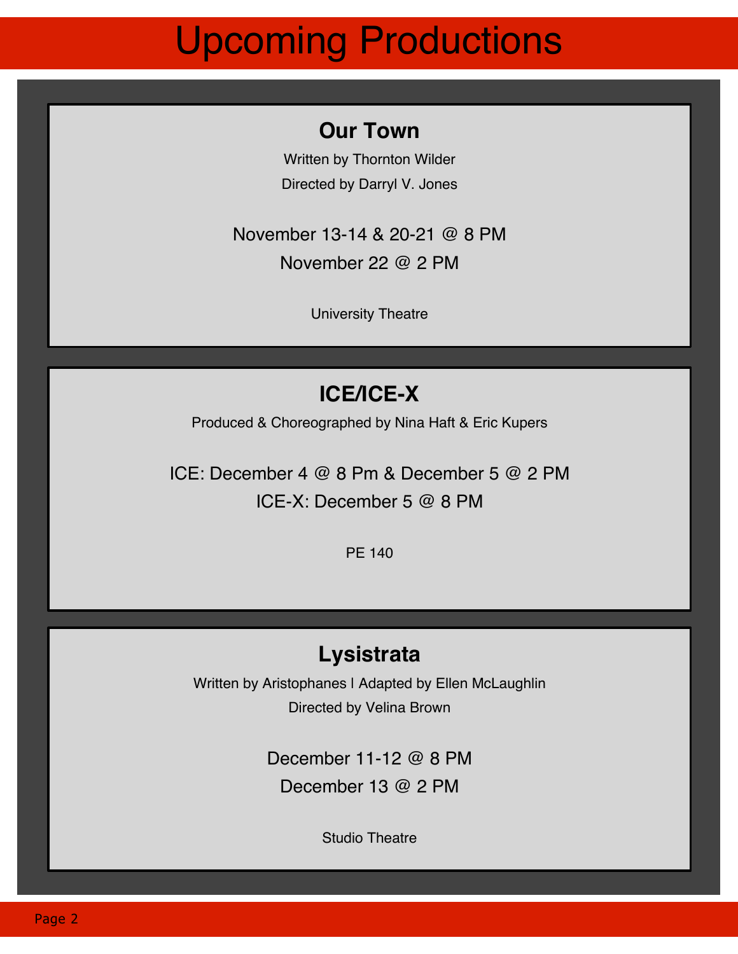# Upcoming Productions

### **Our Town**

Written by Thornton Wilder Directed by Darryl V. Jones

November 13-14 & 20-21 @ 8 PM November 22 @ 2 PM

University Theatre

## **ICE/ICE-X**

Produced & Choreographed by Nina Haft & Eric Kupers

ICE: December 4 @ 8 Pm & December 5 @ 2 PM ICE-X: December 5 @ 8 PM

PE 140

### **Lysistrata**

Written by Aristophanes I Adapted by Ellen McLaughlin Directed by Velina Brown

> December 11-12 @ 8 PM December 13 @ 2 PM

> > Studio Theatre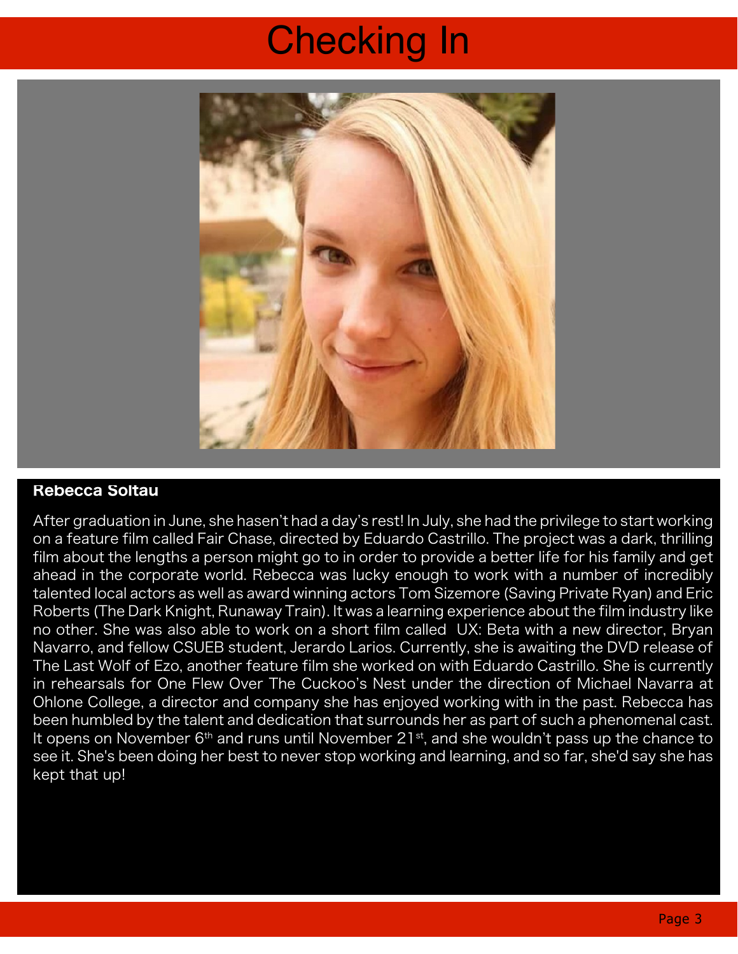# Checking In



#### Rebecca Soltau

After graduation in June, she hasen't had a day's rest! In July, she had the privilege to start working on a feature film called Fair Chase, directed by Eduardo Castrillo. The project was a dark, thrilling film about the lengths a person might go to in order to provide a better life for his family and get ahead in the corporate world. Rebecca was lucky enough to work with a number of incredibly talented local actors as well as award winning actors Tom Sizemore (Saving Private Ryan) and Eric Roberts (The Dark Knight, Runaway Train). It was a learning experience about the film industry like no other. She was also able to work on a short film called UX: Beta with a new director, Bryan Navarro, and fellow CSUEB student, Jerardo Larios. Currently, she is awaiting the DVD release of The Last Wolf of Ezo, another feature film she worked on with Eduardo Castrillo. She is currently in rehearsals for One Flew Over The Cuckoo's Nest under the direction of Michael Navarra at Ohlone College, a director and company she has enjoyed working with in the past. Rebecca has been humbled by the talent and dedication that surrounds her as part of such a phenomenal cast. It opens on November 6<sup>th</sup> and runs until November 21<sup>st</sup>, and she wouldn't pass up the chance to see it. She's been doing her best to never stop working and learning, and so far, she'd say she has kept that up!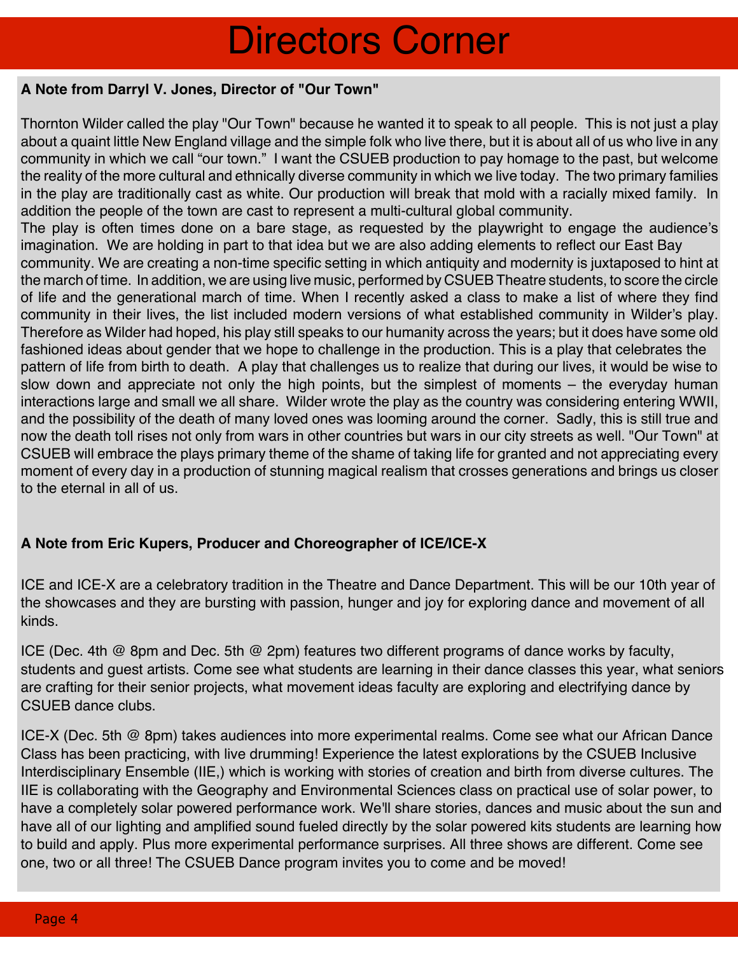# Directors Corner

#### **A Note from Darryl V. Jones, Director of "Our Town"**

Thornton Wilder called the play "Our Town" because he wanted it to speak to all people. This is not just a play about a quaint little New England village and the simple folk who live there, but it is about all of us who live in any community in which we call "our town." I want the CSUEB production to pay homage to the past, but welcome the reality of the more cultural and ethnically diverse community in which we live today. The two primary families in the play are traditionally cast as white. Our production will break that mold with a racially mixed family. In addition the people of the town are cast to represent a multi-cultural global community.

The play is often times done on a bare stage, as requested by the playwright to engage the audience's imagination. We are holding in part to that idea but we are also adding elements to reflect our East Bay community. We are creating a non-time specific setting in which antiquity and modernity is juxtaposed to hint at the march of time. In addition, we are using live music, performed by CSUEB Theatre students, to score the circle of life and the generational march of time. When I recently asked a class to make a list of where they find community in their lives, the list included modern versions of what established community in Wilder's play. Therefore as Wilder had hoped, his play still speaks to our humanity across the years; but it does have some old fashioned ideas about gender that we hope to challenge in the production. This is a play that celebrates the pattern of life from birth to death. A play that challenges us to realize that during our lives, it would be wise to slow down and appreciate not only the high points, but the simplest of moments – the everyday human interactions large and small we all share. Wilder wrote the play as the country was considering entering WWII, and the possibility of the death of many loved ones was looming around the corner. Sadly, this is still true and now the death toll rises not only from wars in other countries but wars in our city streets as well. "Our Town" at CSUEB will embrace the plays primary theme of the shame of taking life for granted and not appreciating every moment of every day in a production of stunning magical realism that crosses generations and brings us closer to the eternal in all of us.

#### **A Note from Eric Kupers, Producer and Choreographer of ICE/ICE-X**

ICE and ICE-X are a celebratory tradition in the Theatre and Dance Department. This will be our 10th year of the showcases and they are bursting with passion, hunger and joy for exploring dance and movement of all kinds.

ICE (Dec. 4th @ 8pm and Dec. 5th @ 2pm) features two different programs of dance works by faculty, students and guest artists. Come see what students are learning in their dance classes this year, what seniors are crafting for their senior projects, what movement ideas faculty are exploring and electrifying dance by CSUEB dance clubs.

ICE-X (Dec. 5th @ 8pm) takes audiences into more experimental realms. Come see what our African Dance Class has been practicing, with live drumming! Experience the latest explorations by the CSUEB Inclusive Interdisciplinary Ensemble (IIE,) which is working with stories of creation and birth from diverse cultures. The IIE is collaborating with the Geography and Environmental Sciences class on practical use of solar power, to have a completely solar powered performance work. We'll share stories, dances and music about the sun and have all of our lighting and amplified sound fueled directly by the solar powered kits students are learning how to build and apply. Plus more experimental performance surprises. All three shows are different. Come see one, two or all three! The CSUEB Dance program invites you to come and be moved!